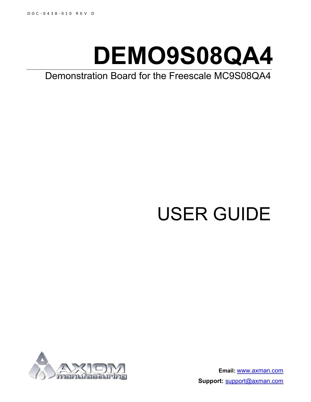# **DEMO9S08QA4**

Demonstration Board for the Freescale MC9S08QA4

# USER GUIDE



**Email:** www.axman.com **Support:** support@axman.com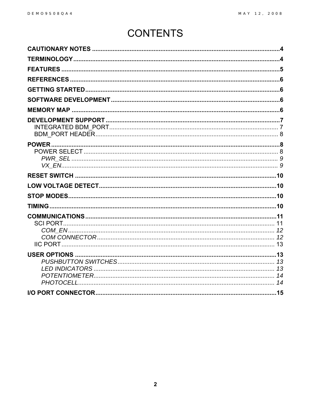### **CONTENTS**

| <b>SCI PORT.</b> |  |
|------------------|--|
|                  |  |
|                  |  |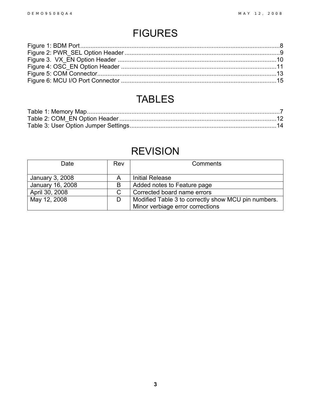### FIGURES

### TABLES

### REVISION

| Date             | Rev | Comments                                            |
|------------------|-----|-----------------------------------------------------|
| January 3, 2008  | A   | <b>Initial Release</b>                              |
| January 16, 2008 | B   | Added notes to Feature page                         |
| April 30, 2008   | C   | Corrected board name errors                         |
| May 12, 2008     | D   | Modified Table 3 to correctly show MCU pin numbers. |
|                  |     | Minor verbiage error corrections                    |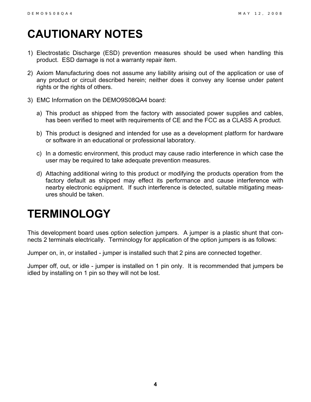# <span id="page-3-0"></span>**CAUTIONARY NOTES**

- 1) Electrostatic Discharge (ESD) prevention measures should be used when handling this product. ESD damage is not a warranty repair item.
- 2) Axiom Manufacturing does not assume any liability arising out of the application or use of any product or circuit described herein; neither does it convey any license under patent rights or the rights of others.
- 3) EMC Information on the DEMO9S08QA4 board:
	- a) This product as shipped from the factory with associated power supplies and cables, has been verified to meet with requirements of CE and the FCC as a CLASS A product.
	- b) This product is designed and intended for use as a development platform for hardware or software in an educational or professional laboratory.
	- c) In a domestic environment, this product may cause radio interference in which case the user may be required to take adequate prevention measures.
	- d) Attaching additional wiring to this product or modifying the products operation from the factory default as shipped may effect its performance and cause interference with nearby electronic equipment. If such interference is detected, suitable mitigating measures should be taken.

### <span id="page-3-1"></span>**TERMINOLOGY**

This development board uses option selection jumpers. A jumper is a plastic shunt that connects 2 terminals electrically. Terminology for application of the option jumpers is as follows:

Jumper on, in, or installed - jumper is installed such that 2 pins are connected together.

Jumper off, out, or idle - jumper is installed on 1 pin only. It is recommended that jumpers be idled by installing on 1 pin so they will not be lost.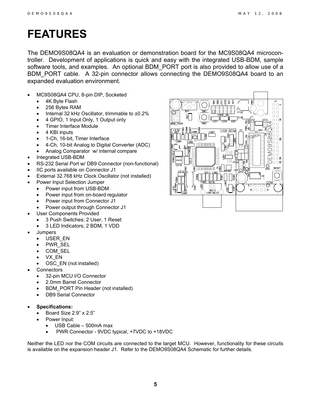### <span id="page-4-0"></span>**FEATURES**

The DEMO9S08QA4 is an evaluation or demonstration board for the MC9S08QA4 microcontroller. Development of applications is quick and easy with the integrated USB-BDM, sample software tools, and examples. An optional BDM\_PORT port is also provided to allow use of a BDM\_PORT cable. A 32-pin connector allows connecting the DEMO9S08QA4 board to an expanded evaluation environment.

- MC9S08QA4 CPU, 8-pin DIP, Socketed
	- 4K Byte Flash
	- 256 Bytes RAM
	- Internal 32 kHz Oscillator, trimmable to ±0.2%
	- 4 GPIO, 1 Input Only, 1 Output only
	- **Timer Interface Module**
	- 4 KBI inputs
	- 1-Ch, 16-bit, Timer Interface
	- 4-Ch, 10-bit Analog to Digital Converter (ADC)
	- Analog Comparator w/ internal compare
- Integrated USB-BDM
- RS-232 Serial Port w/ DB9 Connector (non-functional)
- IIC ports available on Connector J1
- External 32.768 kHz Clock Oscillator (not installed)
	- Power Input Selection Jumper
	- Power input from USB-BDM
	- Power input from on-board regulator
	- Power input from Connector J1
	- Power output through Connector J1
- User Components Provided
	- 3 Push Switches; 2 User, 1 Reset
	- 3 LED Indicators; 2 BDM, 1 VDD
- Jumpers
	- USER EN
	- PWR SEL
	- COM SEL
	- VX\_EN
	- OSC EN (not installed)
- **Connectors** 
	- 32-pin MCU I/O Connector
	- 2.0mm Barrel Connector
	- BDM\_PORT Pin Header (not installed)
	- DB9 Serial Connector
- **Specifications:**
	- Board Size 2.9" x 2.5"
	- Power Input:
		- USB Cable 500mA max
		- PWR Connector 9VDC typical, +7VDC to +18VDC

Neither the LED nor the COM circuits are connected to the target MCU. However, functionality for these circuits is available on the expansion header J1. Refer to the DEMO9S08QA4 Schematic for further details.

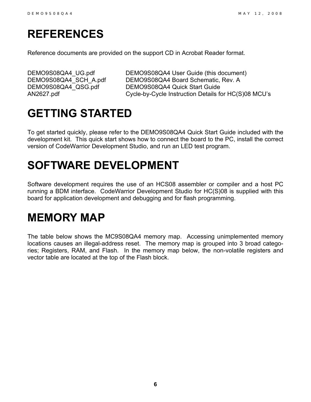### <span id="page-5-0"></span>**REFERENCES**

Reference documents are provided on the support CD in Acrobat Reader format.

DEMO9S08QA4\_UG.pdf DEMO9S08QA4\_User Guide (this document) DEMO9S08QA4\_SCH\_A.pdf DEMO9S08QA4 Board Schematic, Rev. A DEMO9S08QA4\_QSG.pdf DEMO9S08QA4 Quick Start Guide AN2627.pdf Cycle-by-Cycle Instruction Details for HC(S)08 MCU's

### <span id="page-5-1"></span>**GETTING STARTED**

To get started quickly, please refer to the DEMO9S08QA4 Quick Start Guide included with the development kit. This quick start shows how to connect the board to the PC, install the correct version of CodeWarrior Development Studio, and run an LED test program.

### <span id="page-5-2"></span>**SOFTWARE DEVELOPMENT**

Software development requires the use of an HCS08 assembler or compiler and a host PC running a BDM interface. CodeWarrior Development Studio for HC(S)08 is supplied with this board for application development and debugging and for flash programming.

### <span id="page-5-3"></span>**MEMORY MAP**

The table below shows the MC9S08QA4 memory map. Accessing unimplemented memory locations causes an illegal-address reset. The memory map is grouped into 3 broad categories; Registers, RAM, and Flash. In the memory map below, the non-volatile registers and vector table are located at the top of the Flash block.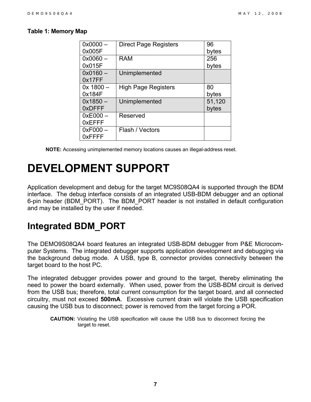#### <span id="page-6-2"></span>**Table 1: Memory Map**

| $0x0000 -$    | <b>Direct Page Registers</b> | 96     |
|---------------|------------------------------|--------|
| 0x005F        |                              | bytes  |
| $0x0060 -$    | <b>RAM</b>                   | 256    |
| 0x015F        |                              | bytes  |
| $0x0160 -$    | Unimplemented                |        |
| 0x17FF        |                              |        |
| $0x$ 1800 $-$ | <b>High Page Registers</b>   | 80     |
| 0x184F        |                              | bytes  |
| $0x1850 -$    | Unimplemented                | 51,120 |
| 0xDFFF        |                              | bytes  |
| $0xE000 -$    | Reserved                     |        |
| 0xEFFF        |                              |        |
| $0xF000 -$    | Flash / Vectors              |        |
| 0xFFFF        |                              |        |

**NOTE:** Accessing unimplemented memory locations causes an illegal-address reset.

### <span id="page-6-0"></span>**DEVELOPMENT SUPPORT**

Application development and debug for the target MC9S08QA4 is supported through the BDM interface. The debug interface consists of an integrated USB-BDM debugger and an optional 6-pin header (BDM\_PORT). The BDM\_PORT header is not installed in default configuration and may be installed by the user if needed.

#### <span id="page-6-1"></span>**Integrated BDM\_PORT**

The DEMO9S08QA4 board features an integrated USB-BDM debugger from P&E Microcomputer Systems. The integrated debugger supports application development and debugging via the background debug mode. A USB, type B, connector provides connectivity between the target board to the host PC.

The integrated debugger provides power and ground to the target, thereby eliminating the need to power the board externally. When used, power from the USB-BDM circuit is derived from the USB bus; therefore, total current consumption for the target board, and all connected circuitry, must not exceed **500mA**. Excessive current drain will violate the USB specification causing the USB bus to disconnect; power is removed from the target forcing a POR.

**CAUTION:** Violating the USB specification will cause the USB bus to disconnect forcing the target to reset.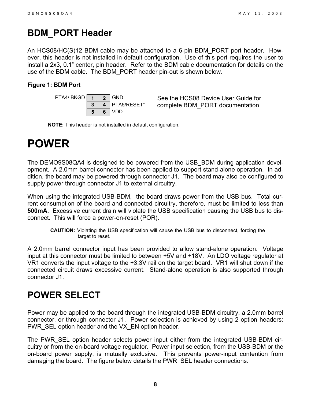#### <span id="page-7-0"></span>**BDM\_PORT Header**

An HCS08/HC(S)12 BDM cable may be attached to a 6-pin BDM\_PORT port header. However, this header is not installed in default configuration. Use of this port requires the user to install a 2x3, 0.1" center, pin header. Refer to the BDM cable documentation for details on the use of the BDM cable. The BDM\_PORT header pin-out is shown below.

#### <span id="page-7-3"></span>**Figure 1: BDM Port**



See the HCS08 Device User Guide for complete BDM\_PORT documentation

**NOTE:** This header is not installed in default configuration.

## <span id="page-7-1"></span>**POWER**

The DEMO9S08QA4 is designed to be powered from the USB\_BDM during application development. A 2.0mm barrel connector has been applied to support stand-alone operation. In addition, the board may be powered through connector J1. The board may also be configured to supply power through connector J1 to external circuitry.

When using the integrated USB-BDM, the board draws power from the USB bus. Total current consumption of the board and connected circuitry, therefore, must be limited to less than **500mA**. Excessive current drain will violate the USB specification causing the USB bus to disconnect. This will force a power-on-reset (POR).

**CAUTION:** Violating the USB specification will cause the USB bus to disconnect, forcing the target to reset.

A 2.0mm barrel connector input has been provided to allow stand-alone operation. Voltage input at this connector must be limited to between +5V and +18V. An LDO voltage regulator at VR1 converts the input voltage to the +3.3V rail on the target board. VR1 will shut down if the connected circuit draws excessive current. Stand-alone operation is also supported through connector J1.

### <span id="page-7-2"></span>**POWER SELECT**

Power may be applied to the board through the integrated USB-BDM circuitry, a 2.0mm barrel connector, or through connector J1. Power selection is achieved by using 2 option headers: PWR\_SEL option header and the VX\_EN option header.

The PWR\_SEL option header selects power input either from the integrated USB-BDM circuitry or from the on-board voltage regulator. Power input selection, from the USB-BDM or the on-board power supply, is mutually exclusive. This prevents power-input contention from damaging the board. The figure below details the PWR\_SEL header connections.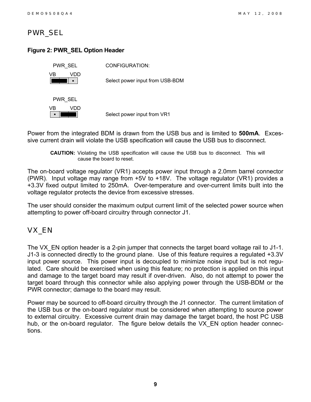#### <span id="page-8-0"></span>*PWR\_SEL*

#### <span id="page-8-2"></span>**Figure 2: PWR\_SEL Option Header**

| PWR SEL    | CONFIGURATION:                  |
|------------|---------------------------------|
| VR<br>VDD) | Select power input from USB-BDM |
| PWR SEL    |                                 |
| VR<br>VDD  | Select power input from VR1     |
|            |                                 |

Power from the integrated BDM is drawn from the USB bus and is limited to **500mA**. Excessive current drain will violate the USB specification will cause the USB bus to disconnect.

**CAUTION:** Violating the USB specification will cause the USB bus to disconnect. This will cause the board to reset.

The on-board voltage regulator (VR1) accepts power input through a 2.0mm barrel connector (PWR). Input voltage may range from +5V to +18V. The voltage regulator (VR1) provides a +3.3V fixed output limited to 250mA. Over-temperature and over-current limits built into the voltage regulator protects the device from excessive stresses.

The user should consider the maximum output current limit of the selected power source when attempting to power off-board circuitry through connector J1.

#### <span id="page-8-1"></span>*VX\_EN*

The VX EN option header is a 2-pin jumper that connects the target board voltage rail to J1-1. J1-3 is connected directly to the ground plane. Use of this feature requires a regulated +3.3V input power source. This power input is decoupled to minimize noise input but is not regulated. Care should be exercised when using this feature; no protection is applied on this input and damage to the target board may result if over-driven. Also, do not attempt to power the target board through this connector while also applying power through the USB-BDM or the PWR connector; damage to the board may result.

Power may be sourced to off-board circuitry through the J1 connector. The current limitation of the USB bus or the on-board regulator must be considered when attempting to source power to external circuitry. Excessive current drain may damage the target board, the host PC USB hub, or the on-board regulator. The figure below details the VX EN option header connections.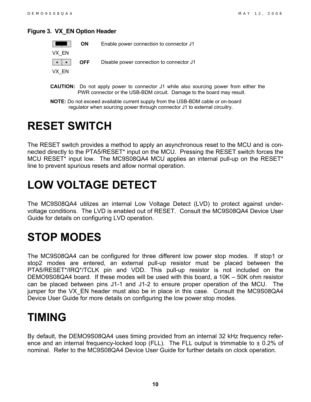#### <span id="page-9-4"></span>**Figure 3. VX\_EN Option Header**

|       | ON | Enable power connection to connector J1                                      |
|-------|----|------------------------------------------------------------------------------|
| VX EN |    |                                                                              |
|       |    | $\vert \cdot \vert \cdot \vert$ OFF Disable power connection to connector J1 |
| VX EN |    |                                                                              |

- **CAUTION:** Do not apply power to connector J1 while also sourcing power from either the PWR connector or the USB-BDM circuit. Damage to the board may result.
- **NOTE:** Do not exceed available current supply from the USB-BDM cable or on-board regulator when sourcing power through connector J1 to external circuitry.

### <span id="page-9-0"></span>**RESET SWITCH**

The RESET switch provides a method to apply an asynchronous reset to the MCU and is connected directly to the PTA5/RESET\* input on the MCU. Pressing the RESET switch forces the MCU RESET\* input low. The MC9S08QA4 MCU applies an internal pull-up on the RESET\* line to prevent spurious resets and allow normal operation.

# <span id="page-9-1"></span>**LOW VOLTAGE DETECT**

The MC9S08QA4 utilizes an internal Low Voltage Detect (LVD) to protect against undervoltage conditions. The LVD is enabled out of RESET. Consult the MC9S08QA4 Device User Guide for details on configuring LVD operation.

## <span id="page-9-2"></span>**STOP MODES**

The MC9S08QA4 can be configured for three different low power stop modes. If stop1 or stop2 modes are entered, an external pull-up resistor must be placed between the PTA5/RESET\*/IRQ\*/TCLK pin and VDD. This pull-up resistor is not included on the DEMO9S08QA4 board. If these modes will be used with this board, a 10K – 50K ohm resistor can be placed between pins J1-1 and J1-2 to ensure proper operation of the MCU. The jumper for the VX EN header must also be in place in this case. Consult the MC9S08QA4 Device User Guide for more details on configuring the low power stop modes.

### <span id="page-9-3"></span>**TIMING**

By default, the DEMO9S08QA4 uses timing provided from an internal 32 kHz frequency reference and an internal frequency-locked loop (FLL). The FLL output is trimmable to  $\pm$  0.2% of nominal. Refer to the MC9S08QA4 Device User Guide for further details on clock operation.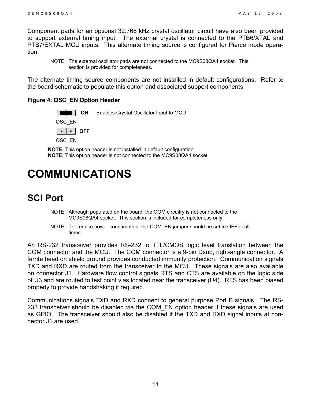Component pads for an optional 32.768 kHz crystal oscillator circuit have also been provided to support external timing input. The external crystal is connected to the PTB6/XTAL and PTB7/EXTAL MCU inputs. This alternate timing source is configured for Pierce mode operation.

NOTE: The external oscillator pads are not connected to the MC9S08QA4 socket. This section is provided for completeness.

The alternate timing source components are not installed in default configurations. Refer to the board schematic to populate this option and associated support components.

#### <span id="page-10-2"></span>**Figure 4: OSC\_EN Option Header**



OSC\_EN

**▪ ▪ OFF**

OSC\_EN

**NOTE:** This option header is not installed in default configuration. **NOTE:** This option header is not connected to the MC9S08QA4 socket

### <span id="page-10-0"></span>**COMMUNICATIONS**

### <span id="page-10-1"></span>**SCI Port**

- NOTE: Although populated on the board, the COM circuitry is not connected to the MC9S08QA4 socket. This section is included for completeness only.
- NOTE: To reduce power consumption, the COM\_EN jumper should be set to OFF at all times.

An RS-232 transceiver provides RS-232 to TTL/CMOS logic level translation between the COM connector and the MCU. The COM connector is a 9-pin Dsub, right-angle connector. A ferrite bead on shield ground provides conducted immunity protection. Communication signals TXD and RXD are routed from the transceiver to the MCU. These signals are also available on connector J1. Hardware flow control signals RTS and CTS are available on the logic side of U3 and are routed to test point vias located near the transceiver (U4). RTS has been biased properly to provide handshaking if required.

Communications signals TXD and RXD connect to general purpose Port B signals. The RS-232 transceiver should be disabled via the COM\_EN option header if these signals are used as GPIO. The transceiver should also be disabled if the TXD and RXD signal inputs at connector J1 are used.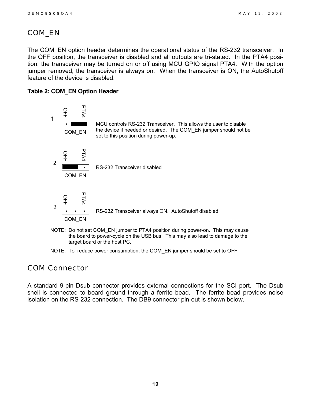#### <span id="page-11-0"></span>*COM\_EN*

The COM\_EN option header determines the operational status of the RS-232 transceiver. In the OFF position, the transceiver is disabled and all outputs are tri-stated. In the PTA4 position, the transceiver may be turned on or off using MCU GPIO signal PTA4. With the option jumper removed, the transceiver is always on. When the transceiver is ON, the AutoShutoff feature of the device is disabled.

#### <span id="page-11-2"></span>**Table 2: COM\_EN Option Header**



NOTE: To reduce power consumption, the COM\_EN jumper should be set to OFF

#### <span id="page-11-1"></span>*COM Connector*

A standard 9-pin Dsub connector provides external connections for the SCI port. The Dsub shell is connected to board ground through a ferrite bead. The ferrite bead provides noise isolation on the RS-232 connection. The DB9 connector pin-out is shown below.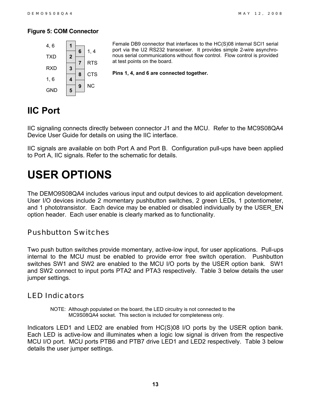#### <span id="page-12-4"></span>**Figure 5: COM Connector**



Female DB9 connector that interfaces to the HC(S)08 internal SCI1 serial port via the U2 RS232 transceiver. It provides simple 2-wire asynchronous serial communications without flow control. Flow control is provided at test points on the board.

**Pins 1, 4, and 6 are connected together.**

#### <span id="page-12-0"></span>**IIC Port**

IIC signaling connects directly between connector J1 and the MCU. Refer to the MC9S08QA4 Device User Guide for details on using the IIC interface.

IIC signals are available on both Port A and Port B. Configuration pull-ups have been applied to Port A, IIC signals. Refer to the schematic for details.

### <span id="page-12-1"></span>**USER OPTIONS**

The DEMO9S08QA4 includes various input and output devices to aid application development. User I/O devices include 2 momentary pushbutton switches, 2 green LEDs, 1 potentiometer, and 1 phototransistor. Each device may be enabled or disabled individually by the USER\_EN option header. Each user enable is clearly marked as to functionality.

#### <span id="page-12-2"></span>*Pushbutton Switches*

Two push button switches provide momentary, active-low input, for user applications. Pull-ups internal to the MCU must be enabled to provide error free switch operation. Pushbutton switches SW1 and SW2 are enabled to the MCU I/O ports by the USER option bank. SW1 and SW2 connect to input ports PTA2 and PTA3 respectively. [Table 3](#page-13-2) below details the user jumper settings.

#### <span id="page-12-3"></span>*LED Indicators*

NOTE: Although populated on the board, the LED circuitry is not connected to the MC9S08QA4 socket. This section is included for completeness only.

Indicators LED1 and LED2 are enabled from HC(S)08 I/O ports by the USER option bank. Each LED is active-low and illuminates when a logic low signal is driven from the respective MCU I/O port. MCU ports PTB6 and PTB7 drive LED1 and LED2 respectively. [Table 3](#page-13-2) below details the user jumper settings.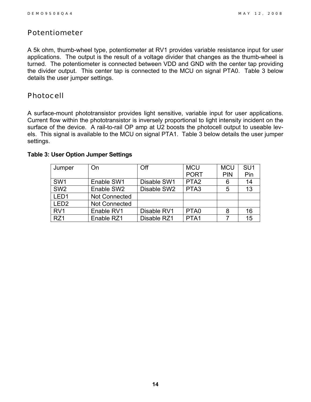#### <span id="page-13-0"></span>*Potentiometer*

A 5k ohm, thumb-wheel type, potentiometer at RV1 provides variable resistance input for user applications. The output is the result of a voltage divider that changes as the thumb-wheel is turned. The potentiometer is connected between VDD and GND with the center tap providing the divider output. This center tap is connected to the MCU on signal PTA0. [Table 3](#page-13-2) below details the user jumper settings.

#### <span id="page-13-1"></span>*Photocell*

A surface-mount phototransistor provides light sensitive, variable input for user applications. Current flow within the phototransistor is inversely proportional to light intensity incident on the surface of the device. A rail-to-rail OP amp at U2 boosts the photocell output to useable levels. This signal is available to the MCU on signal PTA1. [Table 3](#page-13-2) below details the user jumper settings.

| Jumper           | On                   | Off         | <b>MCU</b>       | <b>MCU</b> | SU <sub>1</sub> |
|------------------|----------------------|-------------|------------------|------------|-----------------|
|                  |                      |             | <b>PORT</b>      | <b>PIN</b> | Pin             |
| SW <sub>1</sub>  | Enable SW1           | Disable SW1 | PTA <sub>2</sub> |            | 14              |
| SW <sub>2</sub>  | Enable SW2           | Disable SW2 | PTA <sub>3</sub> | 5          | 13              |
| LED <sub>1</sub> | <b>Not Connected</b> |             |                  |            |                 |
| LED <sub>2</sub> | <b>Not Connected</b> |             |                  |            |                 |
| RV <sub>1</sub>  | Enable RV1           | Disable RV1 | PTA <sub>0</sub> |            | 16              |
| RZ1              | Enable RZ1           | Disable RZ1 | PTA1             |            | 15              |

#### <span id="page-13-2"></span>**Table 3: User Option Jumper Settings**